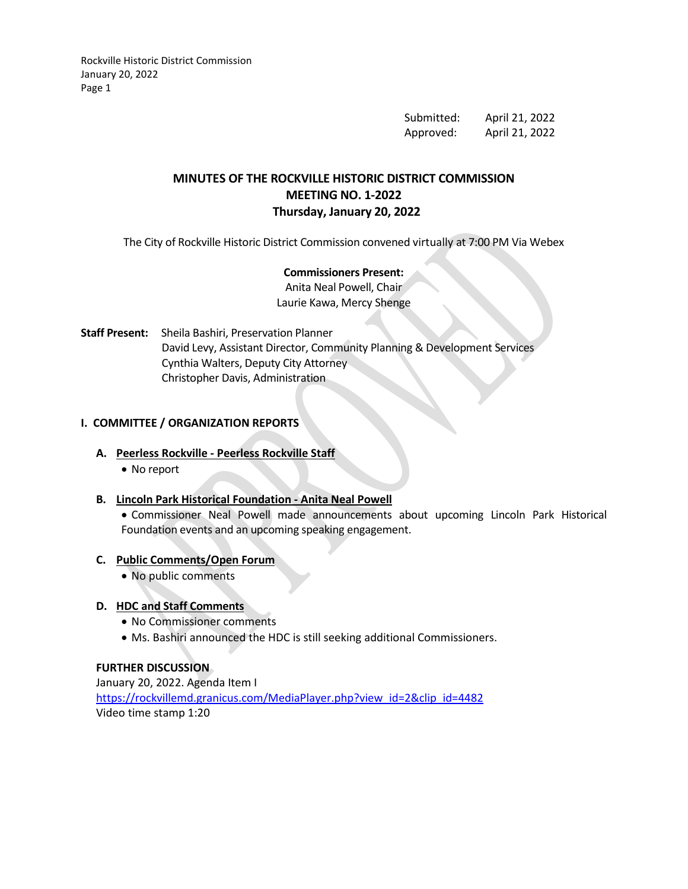Rockville Historic District Commission January 20, 2022 Page 1

> Submitted: April 21, 2022 Approved: April 21, 2022

# **MINUTES OF THE ROCKVILLE HISTORIC DISTRICT COMMISSION MEETING NO. 1-2022 Thursday, January 20, 2022**

The City of Rockville Historic District Commission convened virtually at 7:00 PM Via Webex

# **Commissioners Present:**

Anita Neal Powell, Chair Laurie Kawa, Mercy Shenge

**Staff Present:** Sheila Bashiri, Preservation Planner David Levy, Assistant Director, Community Planning & Development Services Cynthia Walters, Deputy City Attorney Christopher Davis, Administration

## **I. COMMITTEE / ORGANIZATION REPORTS**

#### **A. Peerless Rockville - Peerless Rockville Staff**

• No report

## **B. Lincoln Park Historical Foundation - Anita Neal Powell**

• Commissioner Neal Powell made announcements about upcoming Lincoln Park Historical Foundation events and an upcoming speaking engagement.

#### **C. Public Comments/Open Forum**

• No public comments

#### **D. HDC and Staff Comments**

- No Commissioner comments
- Ms. Bashiri announced the HDC is still seeking additional Commissioners.

## **FURTHER DISCUSSION**

January 20, 2022. Agenda Item I [https://rockvillemd.granicus.com/MediaPlayer.php?view\\_id=2&clip\\_id=4482](https://rockvillemd.granicus.com/MediaPlayer.php?view_id=2&clip_id=4482) Video time stamp 1:20